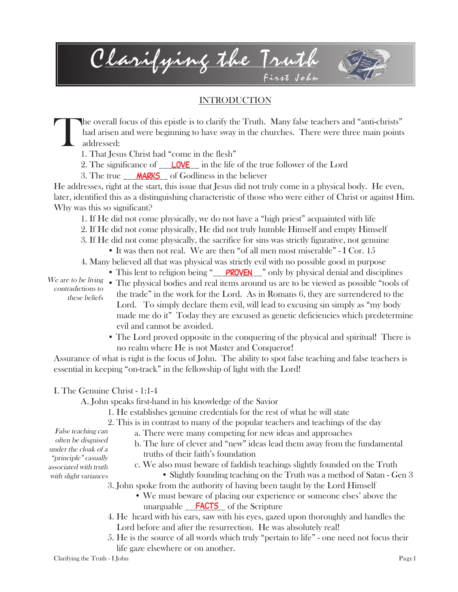Clarifying the Truth First John

## INTRODUCTION

T he overall focus of this epistle is to clarify the Truth. Many false teachers and "anti-christs" had arisen and were beginning to have sway in the churches. There were three main points addressed:

- 1. That Jesus Christ had "come in the flesh"
- 2. The significance of \_\_<mark>LOVE</mark> in the life of the true follower of the Lord
- 3. The true \_\_\_**MARKS** of Godliness in the believer

He addresses, right at the start, this issue that Jesus did not truly come in a physical body. He even, later, identified this as a distinguishing characteristic of those who were either of Christ or against Him. Why was this so significant?

- 1. If He did not come physically, we do not have a "high priest" acquainted with life
- 2. If He did not come physically, He did not truly humble Himself and empty Himself
- 3. If He did not come physically, the sacrifice for sins was strictly figurative, not genuine
	- It was then not real. We are then "of all men most miserable" I Cor. 15
- 4. Many believed all that was physical was strictly evil with no possible good in purpose
	- This lent to religion being " **PROVEN** " only by physical denial and disciplines

We are to be living contradictions to these beliefs

- The physical bodies and real items around us are to be viewed as possible "tools of the trade" in the work for the Lord. As in Romans 6, they are surrendered to the Lord. To simply declare them evil, will lead to excusing sin simply as "my body made me do it" Today they are excused as genetic deficiencies which predetermine evil and cannot be avoided.
- The Lord proved opposite in the conquering of the physical and spiritual! There is no realm where He is not Master and Conqueror!

Assurance of what is right is the focus of John. The ability to spot false teaching and false teachers is essential in keeping "on-track" in the fellowship of light with the Lord!

### I. The Genuine Christ - 1:1-4

False teaching can often be disguised under the cloak of a "principle" casually associated with truth with slight variances

A. John speaks first-hand in his knowledge of the Savior

1. He establishes genuine credentials for the rest of what he will state

2. This is in contrast to many of the popular teachers and teachings of the day

- a. There were many competing for new ideas and approaches
- b. The lure of clever and "new" ideas lead them away from the fundamental truths of their faith's foundation
- c. We also must beware of faddish teachings slightly founded on the Truth
	- Slightly founding teaching on the Truth was a method of Satan Gen 3
- 3. John spoke from the authority of having been taught by the Lord Himself
	- We must beware of placing our experience or someone elses' above the unarguable **FACTS** of the Scripture
- 4. He heard with his ears, saw with his eyes, gazed upon thoroughly and handles the Lord before and after the resurrection. He was absolutely real!
- 5. He is the source of all words which truly "pertain to life" one need not focus their life gaze elsewhere or on another.

Clarifying the Truth - I John Page1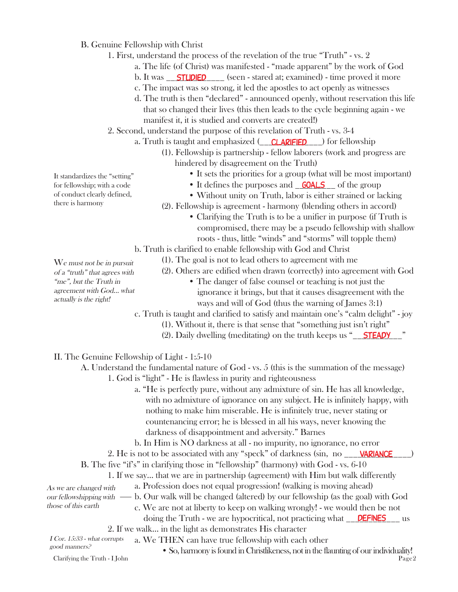- B. Genuine Fellowship with Christ
	- 1. First, understand the process of the revelation of the true "Truth" vs. 2
		- a. The life (of Christ) was manifested "made apparent" by the work of God
		- b. It was <u>STUDIED</u> \_\_\_\_\_ (seen stared at; examined) time proved it more
		- c. The impact was so strong, it led the apostles to act openly as witnesses
		- d. The truth is then "declared" announced openly, without reservation this life that so changed their lives (this then leads to the cycle beginning again - we manifest it, it is studied and converts are created!)
	- 2. Second, understand the purpose of this revelation of Truth vs. 3-4
		- a. Truth is taught and emphasized (CLARIFIED ) for fellowship
			- (1). Fellowship is partnership fellow laborers (work and progress are hindered by disagreement on the Truth)
				- It sets the priorities for a group (what will be most important)
				- It defines the purposes and **GOALS** of the group
				- Without unity on Truth, labor is either strained or lacking

(2). Fellowship is agreement - harmony (blending others in accord)

• Clarifying the Truth is to be a unifier in purpose (if Truth is compromised, there may be a pseudo fellowship with shallow roots - thus, little "winds" and "storms" will topple them)

b. Truth is clarified to enable fellowship with God and Christ

- (1). The goal is not to lead others to agreement with me
	- (2). Others are edified when drawn (correctly) into agreement with God
		- The danger of false counsel or teaching is not just the ignorance it brings, but that it causes disagreement with the ways and will of God (thus the warning of James 3:1)

c. Truth is taught and clarified to satisfy and maintain one's "calm delight" - joy

- (1). Without it, there is that sense that "something just isn't right"
- (2). Daily dwelling (meditating) on the truth keeps us "
STEADY
"

#### II. The Genuine Fellowship of Light - 1:5-10

A. Understand the fundamental nature of God - vs. 5 (this is the summation of the message) 1. God is "light" - He is flawless in purity and righteousness

- a. "He is perfectly pure, without any admixture of sin. He has all knowledge, with no admixture of ignorance on any subject. He is infinitely happy, with nothing to make him miserable. He is infinitely true, never stating or countenancing error; he is blessed in all his ways, never knowing the darkness of disappointment and adversity." Barnes
- b. In Him is NO darkness at all no impurity, no ignorance, no error

2. He is not to be associated with any "speck" of darkness (sin, no \_\_\_\_\_\_\_\_\_\_\_\_\_\_\_) variance

B. The five "if's" in clarifying those in "fellowship" (harmony) with God - vs. 6-10

1. If we say... that we are in partnership (agreement) with Him but walk differently

a. Profession does not equal progression! (walking is moving ahead) As we are changed with

b. Our walk will be changed (altered) by our fellowship (as the goal) with God our fellowshipping with those of this earth

c. We are not at liberty to keep on walking wrongly! - we would then be not

doing the Truth - we are hypocritical, not practicing what **DEFINES** us

2. If we walk... in the light as demonstrates His character

- a. We THEN can have true fellowship with each other I Cor. 15:33 - what corrupts
- So, harmony is found in Christlikeness, not in the flaunting of our individuality!<br> $P_{\text{age}2}$ good manners?  $Clarifying the Truth - I John$

of conduct clearly defined, there is harmony

It standardizes the "setting" for fellowship; with a code

We must not be in pursuit of a "truth" that agrees with "me", but the Truth in agreement with God... what actually is the right!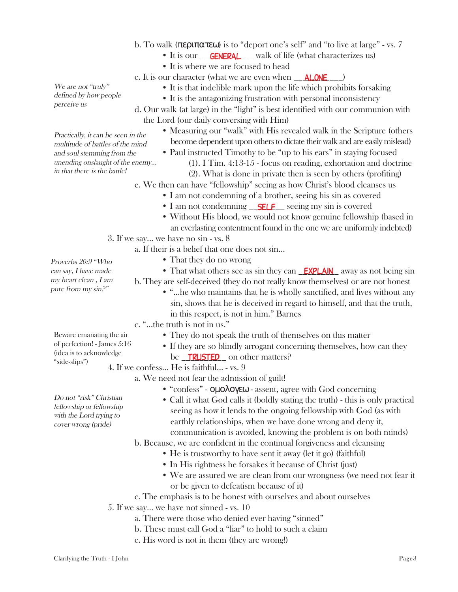- b. To walk ( $\pi \epsilon \rho \pi \alpha \tau \epsilon \omega$ ) is to "deport one's self" and "to live at large" vs. 7
	- It is our \_\_**GENERAL** \_\_ walk of life (what characterizes us)
	- It is where we are focused to head
	- c. It is our character (what we are even when \_\_<mark>\_ALONE</mark> \_\_\_)
		- It is that indelible mark upon the life which prohibits forsaking
		- It is the antagonizing frustration with personal inconsistency
	- d. Our walk (at large) in the "light" is best identified with our communion with the Lord (our daily conversing with Him)
		- Measuring our "walk" with His revealed walk in the Scripture (others become dependent upon others to dictate their walk and are easily mislead)
		- Paul instructed Timothy to be "up to his ears" in staying focused
			- (1). I Tim. 4:13-15 focus on reading, exhortation and doctrine
			- (2). What is done in private then is seen by others (profiting)
	- e. We then can have "fellowship" seeing as how Christ's blood cleanses us
		- I am not condemning of a brother, seeing his sin as covered
		- I am not condemning <u>SELF</u> seeing my sin is covered
		- Without His blood, we would not know genuine fellowship (based in an everlasting contentment found in the one we are uniformly indebted)
- 3. If we say... we have no sin vs. 8
	- a. If their is a belief that one does not sin...
		- That they do no wrong
		- That what others see as sin they can **EXPLAIN** away as not being sin
		- b. They are self-deceived (they do not really know themselves) or are not honest
			- "...he who maintains that he is wholly sanctified, and lives without any sin, shows that he is deceived in regard to himself, and that the truth, in this respect, is not in him." Barnes
		- c. "...the truth is not in us."
			- They do not speak the truth of themselves on this matter
			- If they are so blindly arrogant concerning themselves, how can they be <u>TRUSTED</u> on other matters?

4. If we confess... He is faithful... - vs. 9

- a. We need not fear the admission of guilt!
	- "confess" οµολογεω assent, agree with God concerning
	- Call it what God calls it (boldly stating the truth) this is only practical seeing as how it lends to the ongoing fellowship with God (as with earthly relationships, when we have done wrong and deny it, communication is avoided, knowing the problem is on both minds)

b. Because, we are confident in the continual forgiveness and cleansing

- He is trustworthy to have sent it away (let it go) (faithful)
- In His rightness he forsakes it because of Christ (just)
- We are assured we are clean from our wrongness (we need not fear it or be given to defeatism because of it)
- c. The emphasis is to be honest with ourselves and about ourselves
- 5. If we say... we have not sinned vs. 10
	- a. There were those who denied ever having "sinned"
	- b. These must call God a "liar" to hold to such a claim
	- c. His word is not in them (they are wrong!)

We are not "truly" defined by how people perceive us

Practically, it can be seen in the multitude of battles of the mind and soul stemming from the unending onslaught of the enemy... in that there is the battle!

Proverbs 20:9 "Who can say, I have made my heart clean , I am pure from my sin?"

Beware emanating the air of perfection! - James 5:16 (idea is to acknowledge "side-slips")

Do not "risk" Christian

fellowship or fellowship with the Lord trying to cover wrong (pride)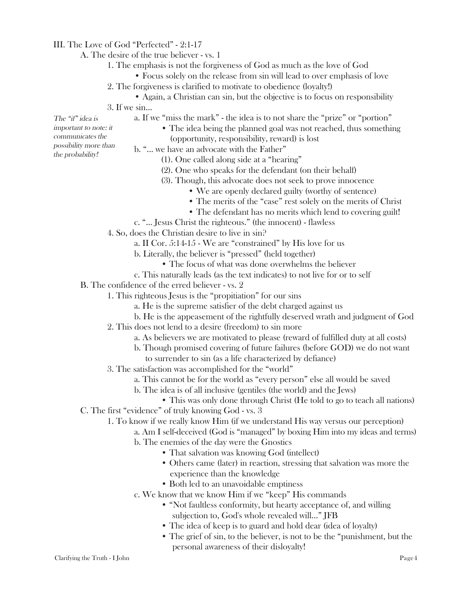### III. The Love of God "Perfected" - 2:1-17

A. The desire of the true believer - vs. 1

- 1. The emphasis is not the forgiveness of God as much as the love of God
	- Focus solely on the release from sin will lead to over emphasis of love
- 2. The forgiveness is clarified to motivate to obedience (loyalty!)
	- Again, a Christian can sin, but the objective is to focus on responsibility
- 3. If we sin...
	- a. If we "miss the mark" the idea is to not share the "prize" or "portion"
- The "if" idea is important to note: it communicates the possibility more than the probability!
- The idea being the planned goal was not reached, thus something (opportunity, responsibility, reward) is lost
- b. "... we have an advocate with the Father"
	- (1). One called along side at a "hearing"
	- (2). One who speaks for the defendant (on their behalf)
	- (3). Though, this advocate does not seek to prove innocence
		- We are openly declared guilty (worthy of sentence)
		- The merits of the "case" rest solely on the merits of Christ
		- The defendant has no merits which lend to covering guilt!
- c. "... Jesus Christ the righteous." (the innocent) flawless
- 4. So, does the Christian desire to live in sin?
	- a. II Cor. 5:14-15 We are "constrained" by His love for us
	- b. Literally, the believer is "pressed" (held together)
		- The focus of what was done overwhelms the believer
	- c. This naturally leads (as the text indicates) to not live for or to self
- B. The confidence of the erred believer vs. 2
	- 1. This righteous Jesus is the "propitiation" for our sins
		- a. He is the supreme satisfier of the debt charged against us
		- b. He is the appeasement of the rightfully deserved wrath and judgment of God
	- 2. This does not lend to a desire (freedom) to sin more
		- a. As believers we are motivated to please (reward of fulfilled duty at all costs)
		- b. Though promised covering of future failures (before GOD) we do not want
		- to surrender to sin (as a life characterized by defiance)
	- 3. The satisfaction was accomplished for the "world"
		- a. This cannot be for the world as "every person" else all would be saved
		- b. The idea is of all inclusive (gentiles (the world) and the Jews)
- This was only done through Christ (He told to go to teach all nations) C. The first "evidence" of truly knowing God - vs. 3
	- 1. To know if we really know Him (if we understand His way versus our perception)
		- a. Am I self-deceived (God is "managed" by boxing Him into my ideas and terms)
			- b. The enemies of the day were the Gnostics
				- That salvation was knowing God (intellect)
				- Others came (later) in reaction, stressing that salvation was more the experience than the knowledge
				- Both led to an unavoidable emptiness
		- c. We know that we know Him if we "keep" His commands
			- "Not faultless conformity, but hearty acceptance of, and willing subjection to, God's whole revealed will..." JFB
			- The idea of keep is to guard and hold dear (idea of loyalty)
			- The grief of sin, to the believer, is not to be the "punishment, but the personal awareness of their disloyalty!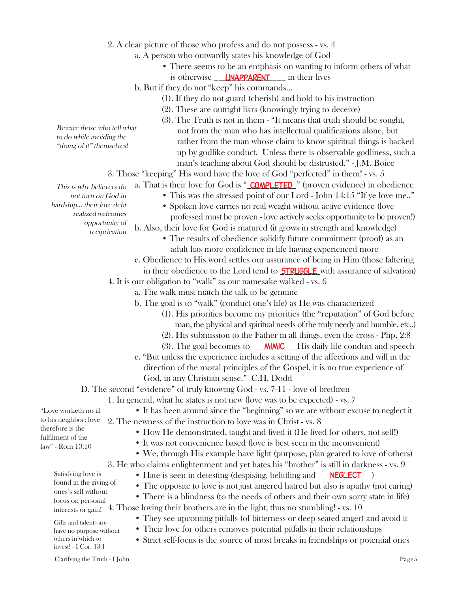- 2. A clear picture of those who profess and do not possess vs. 4
	- a. A person who outwardly states his knowledge of God
		- There seems to be an emphasis on wanting to inform others of what is otherwise **LINAPPARENT** in their lives
	- b. But if they do not "keep" his commands...
		- (1). If they do not guard (cherish) and hold to his instruction
		- (2). These are outright liars (knowingly trying to deceive)
		- (3). The Truth is not in them "It means that truth should be sought, not from the man who has intellectual qualifications alone, but rather from the man whose claim to know spiritual things is backed up by godlike conduct. Unless there is observable godliness, such a man's teaching about God should be distrusted." - J.M. Boice
- 3. Those "keeping" His word have the love of God "perfected" in them! vs. 5
	- a. That is their love for God is " **COMPLETED** " (proven evidence) in obedience
		- This was the stressed point of our Lord John 14:15 "If ye love me.."
		- Spoken love carries no real weight without active evidence (love professed must be proven - love actively seeks opportunity to be proven!)
	- b. Also, their love for God is matured (it grows in strength and knowledge)
		- The results of obedience solidify future commitment (proof) as an adult has more confidence in life having experienced more
	- c. Obedience to His word settles our assurance of being in Him (those faltering

in their obedience to the Lord tend to **STRUGGLE** with assurance of salvation)

4. It is our obligation to "walk" as our namesake walked - vs. 6

- a. The walk must match the talk to be genuine
	- b. The goal is to "walk" (conduct one's life) as He was characterized
		- (1). His priorities become my priorities (the "reputation" of God before man, the physical and spiritual needs of the truly needy and humble, etc..)
		- (2). His submission to the Father in all things, even the cross Php. 2:8
		- (3). The goal becomes to  $\sqrt{\frac{M/M/C}{m}}$  His daily life conduct and speech
	- c. "But unless the experience includes a setting of the affections and will in the direction of the moral principles of the Gospel, it is no true experience of God, in any Christian sense." C.H. Dodd

D. The second "evidence" of truly knowing God - vs. 7-11 - love of brethren

- 1. In general, what he states is not new (love was to be expected) vs. 7
- It has been around since the "beginning" so we are without excuse to neglect it 2. The newness of the instruction to love was in Christ - vs. 8
	- How He demonstrated, taught and lived it (He lived for others, not self!)
	- It was not convenience based (love is best seen in the inconvenient)
	- We, through His example have light (purpose, plan geared to love of others)
- 3. He who claims enlightenment and yet hates his "brother" is still in darkness vs. 9
	- Hate is seen in detesting (despising, belittling and  $\overline{\text{NEGLECT}}$ )
	- The opposite to love is not just angered hatred but also is apathy (not caring)
- There is a blindness (to the needs of others and their own sorry state in life) 4. Those loving their brothers are in the light, thus no stumbling! - vs. 10
	- They see upcoming pitfalls (of bitterness or deep seated anger) and avoid it
	- Their love for others removes potential pitfalls in their relationships
	- Strict self-focus is the source of most breaks in friendships or potential ones

Beware those who tell what to do while avoiding the "doing of it" themselves!

This is why believers do not turn on God in hardship... their love debt realized welcomes opportunity of reciprication

"Love worketh no ill to his neighbor: love therefore is the fulfilment of the law" - Rom 13:10

> Satisfying love is found in the giving of ones's self without

focus on personal interests or gain! Gifts and talents are have no purpose without

others in which to invest! - I Cor. 13:1

- 
- 
-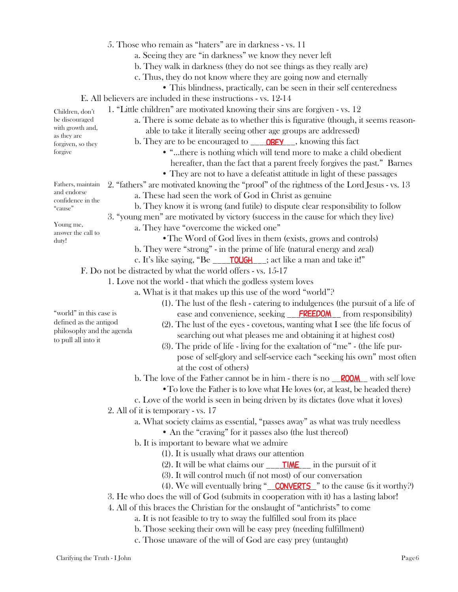- 5. Those who remain as "haters" are in darkness vs. 11
	- a. Seeing they are "in darkness" we know they never left
	- b. They walk in darkness (they do not see things as they really are)
	- c. Thus, they do not know where they are going now and eternally
		- This blindness, practically, can be seen in their self centeredness
- E. All believers are included in these instructions vs. 12-14
	- 1. "Little children" are motivated knowing their sins are forgiven vs. 12
		- a. There is some debate as to whether this is figurative (though, it seems reason able to take it literally seeing other age groups are addressed)
			- b. They are to be encouraged to \_\_\_\_\_\_\_\_\_\_\_\_\_\_\_\_\_, knowing this fact
				- "...there is nothing which will tend more to make a child obedient hereafter, than the fact that a parent freely forgives the past." Barnes
				- They are not to have a defeatist attitude in light of these passages
	- 2. "fathers" are motivated knowing the "proof" of the rightness of the Lord Jesus vs. 13 a. These had seen the work of God in Christ as genuine
		- b. They know it is wrong (and futile) to dispute clear responsibility to follow
		- 3. "young men" are motivated by victory (success in the cause for which they live)
			- a. They have "overcome the wicked one"
				- •The Word of God lives in them (exists, grows and controls)
				- b. They were "strong" in the prime of life (natural energy and zeal)
			- c. It's like saying, "Be \_\_\_\_\_<del>TOUGH</del> \_\_; act like a man and take it!"

F. Do not be distracted by what the world offers - vs. 15-17

- 1. Love not the world that which the godless system loves
	- a. What is it that makes up this use of the word "world"?
		- (1). The lust of the flesh catering to indulgences (the pursuit of a life of ease and convenience, seeking **FREEDOM** from responsibility)
		- (2). The lust of the eyes covetous, wanting what I see (the life focus of searching out what pleases me and obtaining it at highest cost)
		- (3). The pride of life living for the exaltation of "me" (the life pur pose of self-glory and self-service each "seeking his own" most often at the cost of others)

b. The love of the Father cannot be in him - there is no **ROOM** with self love

- To love the Father is to love what He loves (or, at least, be headed there)
- c. Love of the world is seen in being driven by its dictates (love what it loves)
- 2. All of it is temporary vs. 17
	- a. What society claims as essential, "passes away" as what was truly needless
		- An the "craving" for it passes also (the lust thereof)
	- b. It is important to beware what we admire
		- (1). It is usually what draws our attention
		- (2). It will be what claims our  $\frac{1}{\sqrt{10}}$  in the pursuit of it
		- (3). It will control much (if not most) of our conversation
		- (4). We will eventually bring " $\sqrt{\text{CONVERTS}}$ " to the cause (is it worthy?)
- 3. He who does the will of God (submits in cooperation with it) has a lasting labor!
- 4. All of this braces the Christian for the onslaught of "antichrists" to come
	- a. It is not feasible to try to sway the fulfilled soul from its place
	- b. Those seeking their own will be easy prey (needing fulfillment)
	- c. Those unaware of the will of God are easy prey (untaught)

as they are forgiven, so they forgive

Children, don't be discouraged with growth and,

Fathers, maintain and endorse confidence in the "cause"

Young me, answer the call to duty!

"world" in this case is defined as the antigod philosophy and the agenda

to pull all into it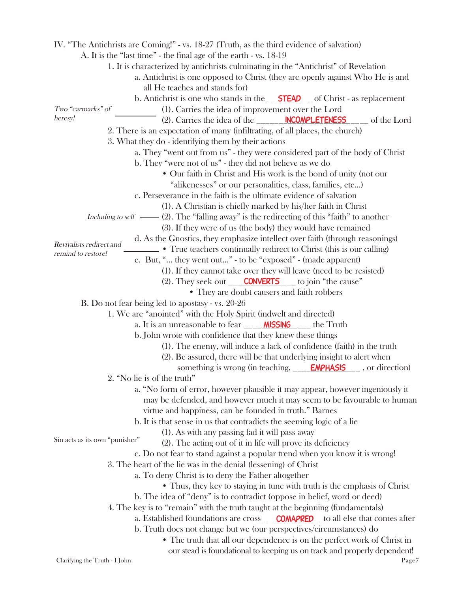IV. "The Antichrists are Coming!" - vs. 18-27 (Truth, as the third evidence of salvation) A. It is the "last time" - the final age of the earth - vs. 18-19 1. It is characterized by antichrists culminating in the "Antichrist" of Revelation a. Antichrist is one opposed to Christ (they are openly against Who He is and all He teaches and stands for) b. Antichrist is one who stands in the <u>STEAD</u> of Christ - as replacement (1). Carries the idea of improvement over the Lord (2). Carries the idea of the \_\_\_\_\_\_\_\_\_\_**NCOMPLETENESS** \_\_\_\_\_\_ of the Lord 2. There is an expectation of many (infiltrating, of all places, the church) 3. What they do - identifying them by their actions a. They "went out from us" - they were considered part of the body of Christ b. They "were not of us" - they did not believe as we do • Our faith in Christ and His work is the bond of unity (not our "alikenesses" or our personalities, class, families, etc...) c. Perseverance in the faith is the ultimate evidence of salvation (1). A Christian is chiefly marked by his/her faith in Christ Including to self  $\_\_\_\_$ (2). The "falling away" is the redirecting of this "faith" to another (3). If they were of us (the body) they would have remained d. As the Gnostics, they emphasize intellect over faith (through reasonings) • True teachers continually redirect to Christ (this is our calling) e. But, "... they went out..." - to be "exposed" - (made apparent) (1). If they cannot take over they will leave (need to be resisted) (2). They seek out \_\_\_\_\_\_\_\_\_\_\_\_\_\_\_ to join "the cause" converts • They are doubt causers and faith robbers B. Do not fear being led to apostasy - vs. 20-26 1. We are "anointed" with the Holy Spirit (indwelt and directed) a. It is an unreasonable to fear \_\_\_\_\_\_ MISSING \_\_\_\_\_ the Truth b. John wrote with confidence that they knew these things (1). The enemy, will induce a lack of confidence (faith) in the truth (2). Be assured, there will be that underlying insight to alert when something is wrong (in teaching, **EMPHASIS** \_\_\_\_, or direction) 2. "No lie is of the truth" a. "No form of error, however plausible it may appear, however ingeniously it may be defended, and however much it may seem to be favourable to human virtue and happiness, can be founded in truth." Barnes b. It is that sense in us that contradicts the seeming logic of a lie (1). As with any passing fad it will pass away (2). The acting out of it in life will prove its deficiency c. Do not fear to stand against a popular trend when you know it is wrong! 3. The heart of the lie was in the denial (lessening) of Christ a. To deny Christ is to deny the Father altogether • Thus, they key to staying in tune with truth is the emphasis of Christ b. The idea of "deny" is to contradict (oppose in belief, word or deed) 4. The key is to "remain" with the truth taught at the beginning (fundamentals) a. Established foundations are cross **\_\_\_\_\_COMAPRED** to all else that comes after b. Truth does not change but we (our perspectives/circumstances) do • The truth that all our dependence is on the perfect work of Christ in our stead is foundational to keeping us on track and properly dependent! Two "earmarks" of heresy! Revivalists redirect and remind to restore! Sin acts as its own "punisher"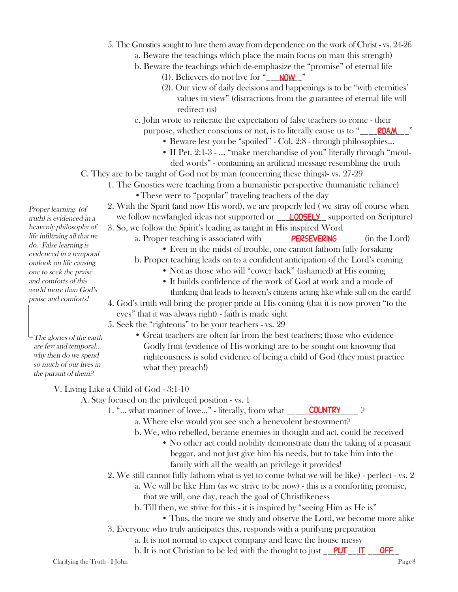- 5. The Gnostics sought to lure them away from dependence on the work of Christ vs. 24-26
	- a. Beware the teachings which place the main focus on man (his strength)
	- b. Beware the teachings which de-emphasize the "promise" of eternal life
		- (1). Believers do not live for " $\sqrt{\frac{NOW}{n}}$ "
		- (2). Our view of daily decisions and happenings is to be "with eternities' values in view" (distractions from the guarantee of eternal life will redirect us)
	- c. John wrote to reiterate the expectation of false teachers to come their purpose, whether conscious or not, is to literally cause us to "\_\_\_\_\_\_\_\_\_\_\_" roam
		- Beware lest you be "spoiled" Col. 2:8 through philosophies...
		- II Pet. 2:1-3 ... "make merchandise of you" literally through "moulded words" - containing an artificial message resembling the truth
- C. They are to be taught of God not by man (concerning these things)- vs. 27-29
	- 1. The Gnostics were teaching from a humanistic perspective (humanistic reliance)
		- These were to "popular" traveling teachers of the day
	- 2. With the Spirit (and now His word), we are properly led ( we stray off course when
	- we follow newfangled ideas not supported or \_\_ **LOOSELY** supported on Scripture) 3. So, we follow the Spirit's leading as taught in His inspired Word
		- a. Proper teaching is associated with \_\_\_\_\_\_\_\_PERSEVERING \_\_\_\_\_\_ (in the Lord)
			- Even in the midst of trouble, one cannot fathom fully forsaking
			- b. Proper teaching leads on to a confident anticipation of the Lord's coming
				- Not as those who will "cower back" (ashamed) at His coming
				- It builds confidence of the work of God at work and a mode of thinking that leads to heaven's citizens acting like while still on the earth!
		- 4. God's truth will bring the proper pride at His coming (that it is now proven "to the eyes" that it was always right) - faith is made sight
	- 5. Seek the "righteous" to be your teachers vs. 29
		- Great teachers are often far from the best teachers; those who evidence Godly fruit (evidence of His working) are to be sought out knowing that righteousness is solid evidence of being a child of God (they must practice what they preach!)

# V. Living Like a Child of God - 3:1-10

- A. Stay focused on the privileged position vs. 1
	- 1. "... what manner of love..." literally, from what \_\_\_\_\_\_\_\_\_\_\_\_\_\_\_\_\_\_\_\_\_\_\_\_\_ ?
		- a. Where else would you see such a benevolent bestowment?
		- b. We, who rebelled, became enemies in thought and act, could be received
			- No other act could nobility demonstrate than the taking of a peasant beggar, and not just give him his needs, but to take him into the family with all the wealth an privilege it provides!
	- 2. We still cannot fully fathom what is yet to come (what we will be like) perfect vs. 2
		- a. We will be like Him (as we strive to be now) this is a comforting promise,
			- that we will, one day, reach the goal of Christlikeness
		- b. Till then, we strive for this it is inspired by "seeing Him as He is"
			- Thus, the more we study and observe the Lord, we become more alike
	- 3. Everyone who truly anticipates this, responds with a purifying preparation
		- a. It is not normal to expect company and leave the house messy
		- b. It is not Christian to be led with the thought to just <u>PUT IT OFF</u>

The glories of the earth are few and temporal... why then do we spend so much of our lives in the pursuit of them?

Proper learning (of truth) is evidenced in a heavenly philosophy of life infiltraing all that we do. False learning is evidenced in a temporal outlook on life causing one to seek the praise and comforts of this world more than God's praise and comforts!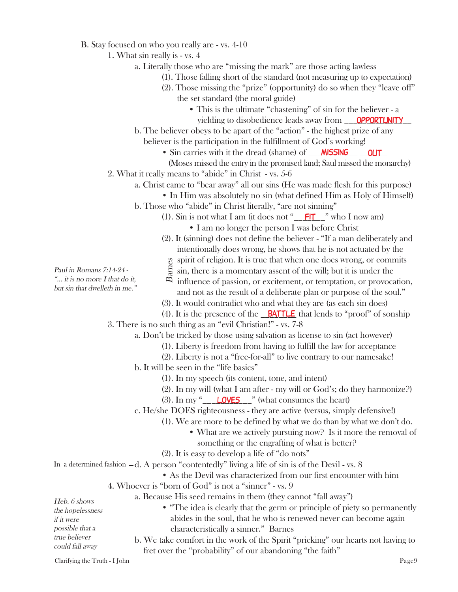- B. Stay focused on who you really are vs. 4-10
	- 1. What sin really is vs. 4
		- a. Literally those who are "missing the mark" are those acting lawless
			- (1). Those falling short of the standard (not measuring up to expectation)
			- (2). Those missing the "prize" (opportunity) do so when they "leave off" the set standard (the moral guide)
				- This is the ultimate "chastening" of sin for the believer a
				- yielding to disobedience leads away from **OPPORTUNITY**
		- b. The believer obeys to be apart of the "action" the highest prize of any believer is the participation in the fulfillment of God's working!
			- Sin carries with it the dread (shame) of \_\_\_\_\_\_\_\_\_\_\_ \_\_\_\_\_\_ MISSING OUT
			- (Moses missed the entry in the promised land; Saul missed the monarchy)
	- 2. What it really means to "abide" in Christ vs. 5-6
		- a. Christ came to "bear away" all our sins (He was made flesh for this purpose)
		- In Him was absolutely no sin (what defined Him as Holy of Himself)
		- b. Those who "abide" in Christ literally, "are not sinning"
			- (1). Sin is not what I am (it does not " $_FIT$  " who I now am) • I am no longer the person I was before Christ
			- (2). It (sinning) does not define the believer "If a man deliberately and intentionally does wrong, he shows that he is not actuated by the
			- spirit of religion. It is true that when one does wrong, or commits
			- $\frac{1}{2}$  sin, there is a momentary assent of the will; but it is under the
			- $\infty$  influence of passion, or excitement, or temptation, or provocation, and not as the result of a deliberate plan or purpose of the soul."
			- (3). It would contradict who and what they are (as each sin does)
	- (4). It is the presence of the  $\blacksquare$  **BATTLE** that lends to "proof" of sonship 3. There is no such thing as an "evil Christian!" - vs. 7-8

a. Don't be tricked by those using salvation as license to sin (act however)

- (1). Liberty is freedom from having to fulfill the law for acceptance
- (2). Liberty is not a "free-for-all" to live contrary to our namesake!
- b. It will be seen in the "life basics"
	- (1). In my speech (its content, tone, and intent)
	- (2). In my will (what I am after my will or God's; do they harmonize?)
	- $(3)$ . In my " $\sqrt{2}$  LOVES  $\sqrt{2}$ " (what consumes the heart)
- c. He/she DOES righteousness they are active (versus, simply defensive!)
	- (1). We are more to be defined by what we do than by what we don't do.
		- What are we actively pursuing now? Is it more the removal of
		- something or the engrafting of what is better?
	- (2). It is easy to develop a life of "do nots"

In a determined fashion  $-d$ . A person "contentedly" living a life of sin is of the Devil - vs.  $8$ 

- As the Devil was characterized from our first encounter with him
- 4. Whoever is "born of God" is not a "sinner" vs. 9
	- a. Because His seed remains in them (they cannot "fall away")

| Heb. 6 shows         |
|----------------------|
| the hopelessness     |
| if it were           |
| possible that a      |
| <i>true believer</i> |
| could fall away      |

- "The idea is clearly that the germ or principle of piety so permanently abides in the soul, that he who is renewed never can become again characteristically a sinner." Barnes Free is a momentary assent of the will; but<br>  $\frac{8}{5}$  sin, there is a momentary assent of the will; but<br>  $\frac{8}{5}$  influence of passion, or excitement, or tempta<br>
and not as the result of a deliberate plan or pu<br>
(3). It
- b. We take comfort in the work of the Spirit "pricking" our hearts not having to

Clarifying the Truth - I John Page9

Paul in Romans 7:14-24 - "... it is no more I that do it, but sin that dwelleth in me."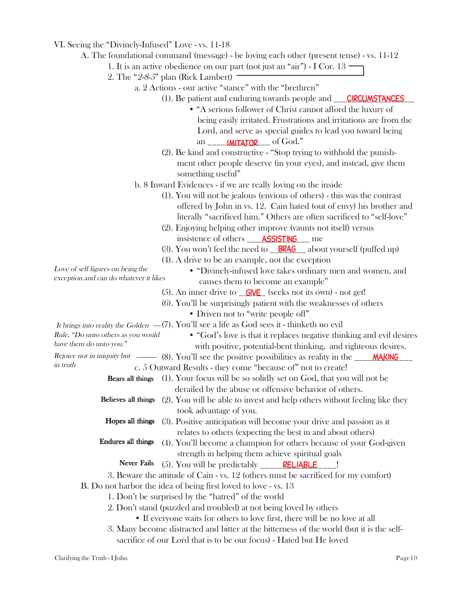|  |  |  |  |  |  |  | VI. Seeing the "Divinely-Infused" Love - vs. 11-18 |
|--|--|--|--|--|--|--|----------------------------------------------------|
|--|--|--|--|--|--|--|----------------------------------------------------|

A. The foundational command (message) - be loving each other (present tense) - vs. 11-12

- 1. It is an active obedience on our part (not just an "air") I Cor. 13
- 2. The "2-8-5" plan (Rick Lambert)  $\overline{\phantom{a}}$ 
	- a. 2 Actions our active "stance" with the "brethren"
		- (1). Be patient and enduring towards people and \_\_\_**CIRCUMSTANCES** 
			- "A serious follower of Christ cannot afford the luxury of being easily irritated. Frustrations and irritations are from the Lord, and serve as special guides to lead you toward being an **IMITATOR** of God."
		- (2). Be kind and constructive "Stop trying to withhold the punish ment other people deserve (in your eyes), and instead, give them something useful"
	- b. 8 Inward Evidences if we are really loving on the inside
		- (1). You will not be jealous (envious of others) this was the contrast offered by John in vs. 12. Cain hated (out of envy) his brother and literally "sacrificed him." Others are often sacrificed to "self-love"
		- (2). Enjoying helping other improve (vaunts not itself) versus insistence of others \_\_\_\_**ASSISTING** \_\_ me
		- (3). You won't feel the need to **BRAG** about yourself (puffed up)
		- (4). A drive to be an example, not the exception

Love of self figures on being the exception and can do whatever it likes

have them do unto you."

- "Divinely-infused love takes ordinary men and women, and causes them to become an example"
- (5). An inner drive to  $\sqrt{\frac{G|VE}{G}}$  (seeks not its own) not get!
- (6). You'll be surprisingly patient with the weaknesses of others
	- Driven not to "write people off"

It brings into reality the Golden  $-$ (7). You'll see a life as God sees it - thinketh no evil

- "God's love is that it replaces negative thinking and evil desires with positive, potential-bent thinking, and righteous desires. Rule, "Do unto others as you would
- Rejoice not in iniquity but (8). You'll see the positive possibilities as reality in the \_\_\_\_\_**MAKING** in truth
	- c. 5 Outward Results they come "because of" not to create!
	- Bears all things (1). Your focus will be so solidly set on God, that you will not be derailed by the abuse or offensive behavior of others.
	- Believes all things (2). You will be able to invest and help others without feeling like they took advantage of you.
	- (3). Positive anticipation will become your drive and passion as it relates to others (expecting the best in and about others) Hopes all things
	- (4). You'll become a champion for others because of your God-given strength in helping them achieve spiritual goals Endures all things
		- (5). You will be predictably  $\frac{\text{RELABLE}}{\text{RELABLE}}$ . Never Fails
	- 3. Beware the attitude of Cain vs. 12 (others must be sacrificed for my comfort)

B. Do not harbor the idea of being first loved to love - vs. 13

- 1. Don't be surprised by the "hatred" of the world
- 2. Don't stand (puzzled and troubled) at not being loved by others
	- If everyone waits for others to love first, there will be no love at all
- 3. Many become distracted and bitter at the bitterness of the world (but it is the self sacrifice of our Lord that is to be our focus) - Hated but He loved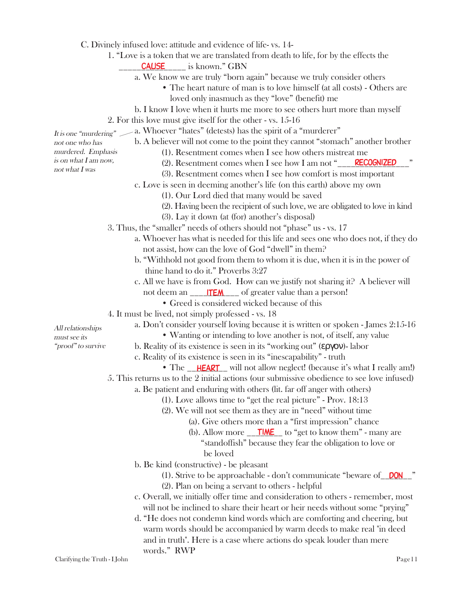|  |  |  |  |  |  |  |  | C. Divinely infused love: attitude and evidence of life-vs. 14- |  |  |  |
|--|--|--|--|--|--|--|--|-----------------------------------------------------------------|--|--|--|
|--|--|--|--|--|--|--|--|-----------------------------------------------------------------|--|--|--|

- 1. "Love is a token that we are translated from death to life, for by the effects the
- <u>\_\_\_\_\_\_\_CAUSE</u> \_\_\_\_\_\_ is known." GBN
	- a. We know we are truly "born again" because we truly consider others
		- The heart nature of man is to love himself (at all costs) Others are loved only inasmuch as they "love" (benefit) me
- b. I know I love when it hurts me more to see others hurt more than myself
- 2. For this love must give itself for the other vs. 15-16

It is one "murdering" > a. Whoever "hates" (detests) has the spirit of a "murderer"

b. A believer will not come to the point they cannot "stomach" another brother not one who has murdered. Emphasis

not what I was

- (1). Resentment comes when I see how others mistreat me
- is on what I am now,
- (2). Resentment comes when I see how I am not "\_\_\_\_\_\_\_\_\_\_\_\_\_\_\_\_\_\_\_\_\_\_\_\_\_\_\_\_\_\_\_\_\_
- (3). Resentment comes when I see how comfort is most important
- c. Love is seen in deeming another's life (on this earth) above my own
	- (1). Our Lord died that many would be saved
	- (2). Having been the recipient of such love, we are obligated to love in kind
	- (3). Lay it down (at (for) another's disposal)
- 3. Thus, the "smaller" needs of others should not "phase" us vs. 17
	- a. Whoever has what is needed for this life and sees one who does not, if they do not assist, how can the love of God "dwell" in them?
	- b. "Withhold not good from them to whom it is due, when it is in the power of thine hand to do it." Proverbs 3:27
	- c. All we have is from God. How can we justify not sharing it? A believer will not deem an \_\_\_\_\_\_\_\_\_\_\_ of greater value than a person! item
		- Greed is considered wicked because of this
- 4. It must be lived, not simply professed vs. 18
	- a. Don't consider yourself loving because it is written or spoken James 2:15-16
- All relationships must see its "proof" to survive
- Wanting or intending to love another is not, of itself, any value
- b. Reality of its existence is seen in its "working out" (εργον)- labor
	- c. Reality of its existence is seen in its "inescapability" truth
		- The \_\_**HEART** will not allow neglect! (because it's what I really am!)
- 5. This returns us to the 2 initial actions (our submissive obedience to see love infused)
	- a. Be patient and enduring with others (lit. far off anger with others)
		- (1). Love allows time to "get the real picture" Prov. 18:13
		- (2). We will not see them as they are in "need" without time
			- (a). Give others more than a "first impression" chance
			- (b). Allow more  $\sqrt{\frac{71ME}{}}$  to "get to know them" many are "standoffish" because they fear the obligation to love or be loved
	- b. Be kind (constructive) be pleasant
		- (1). Strive to be approachable don't communicate "beware of **DON**"
		- (2). Plan on being a servant to others helpful
	- c. Overall, we initially offer time and consideration to others remember, most will not be inclined to share their heart or heir needs without some "prying"
	- d. "He does not condemn kind words which are comforting and cheering, but warm words should be accompanied by warm deeds to make real "in deed and in truth". Here is a case where actions do speak louder than mere words." RWP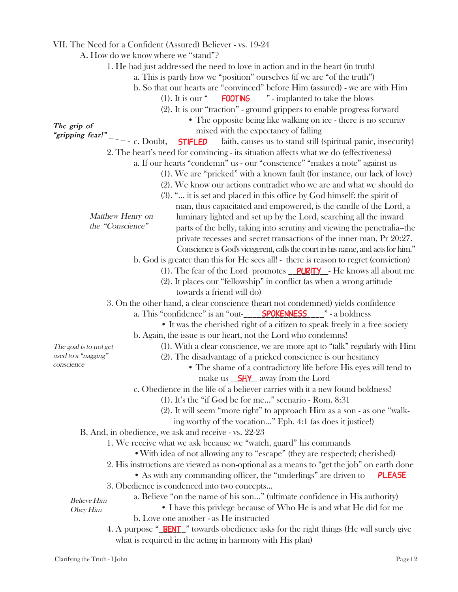|                        |                  | VII. The Need for a Confident (Assured) Believer - vs. 19-24                                              |
|------------------------|------------------|-----------------------------------------------------------------------------------------------------------|
|                        |                  | A. How do we know where we "stand"?                                                                       |
|                        |                  | 1. He had just addressed the need to love in action and in the heart (in truth)                           |
|                        |                  | a. This is partly how we "position" ourselves (if we are "of the truth")                                  |
|                        |                  | b. So that our hearts are "convinced" before Him (assured) - we are with Him                              |
|                        |                  | (1). It is our " $\underline{\hspace{1cm}}$ <b>FOOTING</b> $\hspace{1cm}$ " - implanted to take the blows |
|                        |                  | (2). It is our "traction" - ground grippers to enable progress forward                                    |
|                        |                  |                                                                                                           |
| The grip of            |                  | • The opposite being like walking on ice - there is no security                                           |
| "gripping fear!"       |                  | mixed with the expectancy of falling                                                                      |
|                        |                  | c. Doubt, <b>STIFLED</b> faith, causes us to stand still (spiritual panic, insecurity)                    |
|                        |                  | 2. The heart's need for convincing - its situation affects what we do (effectiveness)                     |
|                        |                  | a. If our hearts "condemn" us - our "conscience" "makes a note" against us                                |
|                        |                  | (1). We are "pricked" with a known fault (for instance, our lack of love)                                 |
|                        |                  | (2). We know our actions contradict who we are and what we should do                                      |
|                        |                  | (3). " it is set and placed in this office by God himself: the spirit of                                  |
|                        |                  | man, thus capacitated and empowered, is the candle of the Lord, a                                         |
|                        | Matthew Henry on | luminary lighted and set up by the Lord, searching all the inward                                         |
|                        | the "Conscience" | parts of the belly, taking into scrutiny and viewing the penetralia--the                                  |
|                        |                  | private recesses and secret transactions of the inner man, Pr 20:27.                                      |
|                        |                  | Conscience is God's vicegerent, calls the court in his name, and acts for him."                           |
|                        |                  | b. God is greater than this for He sees all! - there is reason to regret (conviction)                     |
|                        |                  | (1). The fear of the Lord promotes $\rho \text{URITY}$ - He knows all about me                            |
|                        |                  |                                                                                                           |
|                        |                  | (2). It places our "fellowship" in conflict (as when a wrong attitude                                     |
|                        |                  | towards a friend will do)                                                                                 |
|                        |                  | 3. On the other hand, a clear conscience (heart not condemned) yields confidence                          |
|                        |                  | a. This "confidence" is an "out- <u>Constructure SPOKENNESS</u> <sub>Constructure</sub> 2 a boldness      |
|                        |                  | • It was the cherished right of a citizen to speak freely in a free society                               |
|                        |                  | b. Again, the issue is our heart, not the Lord who condemns!                                              |
| The goal is to not get |                  | (1). With a clear conscience, we are more apt to "talk" regularly with Him                                |
| used to a "nagging"    |                  | (2). The disadvantage of a pricked conscience is our hesitancy                                            |
| conscience             |                  | • The shame of a contradictory life before His eyes will tend to                                          |
|                        |                  | make us SHY_ away from the Lord                                                                           |
|                        |                  | c. Obedience in the life of a believer carries with it a new found boldness!                              |
|                        |                  | (1). It's the "if God be for me" scenario - Rom. 8:31                                                     |
|                        |                  | (2). It will seem "more right" to approach Him as a son - as one "walk-                                   |
|                        |                  | ing worthy of the vocation" Eph. 4:1 (as does it justice!)                                                |
|                        |                  | B. And, in obedience, we ask and receive - vs. 22-23                                                      |
|                        |                  | 1. We receive what we ask because we "watch, guard" his commands                                          |
|                        |                  | • With idea of not allowing any to "escape" (they are respected; cherished)                               |
|                        |                  | 2. His instructions are viewed as non-optional as a means to "get the job" on earth done                  |
|                        |                  |                                                                                                           |
|                        |                  | • As with any commanding officer, the "underlings" are driven to PLEASE                                   |
|                        |                  | 3. Obedience is condenced into two concepts                                                               |
| <b>Believe Him</b>     |                  | a. Believe "on the name of his son" (ultimate confidence in His authority)                                |
| Obey Him               |                  | • I have this privlege because of Who He is and what He did for me                                        |
|                        |                  | b. Love one another - as He instructed                                                                    |
|                        |                  | 4. A purpose " <b>BENT</b> " towards obedience asks for the right things (He will surely give             |
|                        |                  | what is required in the acting in harmony with His plan)                                                  |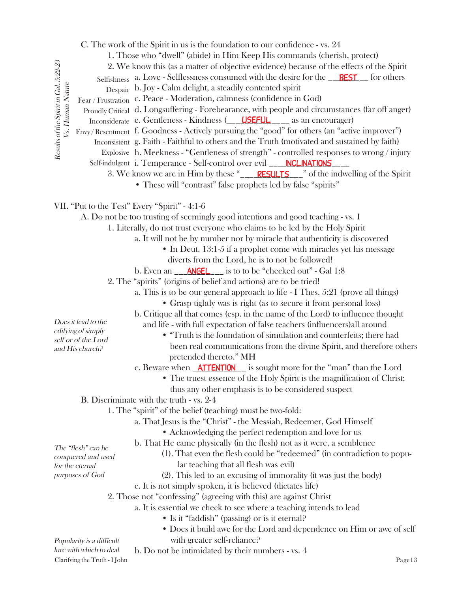|                                                                  |                                                      | C. The work of the Spirit in us is the foundation to our confidence - vs. 24                    |
|------------------------------------------------------------------|------------------------------------------------------|-------------------------------------------------------------------------------------------------|
|                                                                  |                                                      | 1. Those who "dwell" (abide) in Him Keep His commands (cherish, protect)                        |
|                                                                  |                                                      | 2. We know this (as a matter of objective evidence) because of the effects of the Spirit        |
|                                                                  |                                                      | Selfishness a. Love - Selflessness consumed with the desire for the <u>PEST</u> for others      |
|                                                                  |                                                      | Despair b. Joy - Calm delight, a steadily contented spirit                                      |
|                                                                  |                                                      | Fear / Frustration c. Peace - Moderation, calmness (confidence in God)                          |
|                                                                  |                                                      | Proudly Critical d. Longsuffering - Forebearance, with people and circumstances (far off anger) |
| Results of the Spirit in Gal. 5:22-23<br><i>Vs. Human Nature</i> |                                                      | Inconsiderate e. Gentleness - Kindness (USEFUL USE As an encourager)                            |
|                                                                  |                                                      |                                                                                                 |
|                                                                  |                                                      | Envy/Resentment f. Goodness - Actively pursuing the "good" for others (an "active improver")    |
|                                                                  |                                                      | Inconsistent g. Faith - Faithful to others and the Truth (motivated and sustained by faith)     |
|                                                                  |                                                      | Explosive h. Meekness - "Gentleness of strength" - controlled responses to wrong/injury         |
|                                                                  |                                                      | Self-indulgent i. Temperance - Self-control over evil __ INCLINATIONS                           |
|                                                                  |                                                      |                                                                                                 |
|                                                                  |                                                      | • These will "contrast" false prophets led by false "spirits"                                   |
|                                                                  |                                                      | VII. "Put to the Test" Every "Spirit" - 4:1-6                                                   |
|                                                                  |                                                      | A. Do not be too trusting of seemingly good intentions and good teaching - vs. 1                |
|                                                                  |                                                      | 1. Literally, do not trust everyone who claims to be led by the Holy Spirit                     |
|                                                                  |                                                      | a. It will not be by number nor by miracle that authenticity is discovered                      |
|                                                                  |                                                      | • In Deut. 13:1-5 if a prophet come with miracles yet his message                               |
|                                                                  |                                                      | diverts from the Lord, he is to not be followed!                                                |
|                                                                  |                                                      | b. Even an __ ANGEL __ is to to be "checked out" - Gal 1:8                                      |
|                                                                  |                                                      | 2. The "spirits" (origins of belief and actions) are to be tried!                               |
|                                                                  |                                                      | a. This is to be our general approach to life - I Thes. 5:21 (prove all things)                 |
|                                                                  |                                                      |                                                                                                 |
|                                                                  |                                                      | • Grasp tightly was is right (as to secure it from personal loss)                               |
|                                                                  | Does it lead to the                                  | b. Critique all that comes (esp. in the name of the Lord) to influence thought                  |
|                                                                  | edifying of simply                                   | and life - with full expectation of false teachers (influencers) all around                     |
|                                                                  | self or of the Lord                                  | • "Truth is the foundation of simulation and counterfeits; there had                            |
|                                                                  | and His church?                                      | been real communications from the divine Spirit, and therefore others                           |
|                                                                  |                                                      | pretended thereto." MH                                                                          |
|                                                                  |                                                      | c. Beware when <b>ATTENTION</b> is sought more for the "man" than the Lord                      |
|                                                                  |                                                      | • The truest essence of the Holy Spirit is the magnification of Christ;                         |
|                                                                  |                                                      | thus any other emphasis is to be considered suspect                                             |
|                                                                  |                                                      | B. Discriminate with the truth - vs. 2-4                                                        |
|                                                                  |                                                      | 1. The "spirit" of the belief (teaching) must be two-fold:                                      |
|                                                                  |                                                      | a. That Jesus is the "Christ" - the Messiah, Redeemer, God Himself                              |
|                                                                  |                                                      | • Acknowledging the perfect redemption and love for us                                          |
|                                                                  | The "flesh" can be                                   | b. That He came physically (in the flesh) not as it were, a semblence                           |
|                                                                  | conquered and used                                   | (1). That even the flesh could be "redeemed" (in contradiction to popu-                         |
|                                                                  | for the eternal                                      | lar teaching that all flesh was evil)                                                           |
|                                                                  | purposes of God                                      | (2). This led to an excusing of immorality (it was just the body)                               |
|                                                                  |                                                      | c. It is not simply spoken, it is believed (dictates life)                                      |
|                                                                  |                                                      | 2. Those not "confessing" (agreeing with this) are against Christ                               |
|                                                                  |                                                      | a. It is essential we check to see where a teaching intends to lead                             |
|                                                                  |                                                      | • Is it "faddish" (passing) or is it eternal?                                                   |
|                                                                  |                                                      | • Does it build awe for the Lord and dependence on Him or awe of self                           |
|                                                                  |                                                      | with greater self-reliance?                                                                     |
|                                                                  | Popularity is a difficult<br>lure with which to deal | b. Do not be intimidated by their numbers - vs. 4                                               |
|                                                                  | Clarifying the Truth - I John                        | Page13                                                                                          |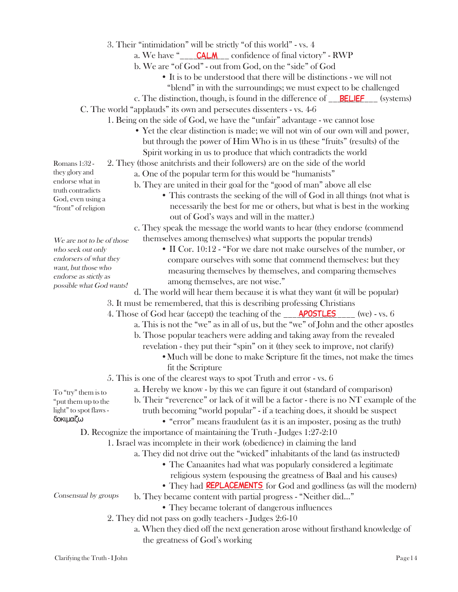- 3. Their "intimidation" will be strictly "of this world" vs. 4
	- a. We have "\_\_\_\_\_CALM \_\_\_ confidence of final victory" RWP
	- b. We are "of God" out from God, on the "side" of God
		- It is to be understood that there will be distinctions we will not
			- "blend" in with the surroundings; we must expect to be challenged
	- c. The distinction, though, is found in the difference of **BELIEF** (systems)

C. The world "applauds" its own and persecutes dissenters - vs. 4-6

- 1. Being on the side of God, we have the "unfair" advantage we cannot lose
	- Yet the clear distinction is made; we will not win of our own will and power, but through the power of Him Who is in us (these "fruits" (results) of the Spirit working in us to produce that which contradicts the world

2. They (those anitchrists and their followers) are on the side of the world

- a. One of the popular term for this would be "humanists"
- b. They are united in their goal for the "good of man" above all else
	- This contrasts the seeking of the will of God in all things (not what is necessarily the best for me or others, but what is best in the working out of God's ways and will in the matter.)

c. They speak the message the world wants to hear (they endorse (commend themselves among themselves) what supports the popular trends)

• II Cor. 10:12 - "For we dare not make ourselves of the number, or compare ourselves with some that commend themselves: but they measuring themselves by themselves, and comparing themselves among themselves, are not wise."

d. The world will hear them because it is what they want (it will be popular) possible what God wants!

3. It must be remembered, that this is describing professing Christians

- 4. Those of God hear (accept) the teaching of the \_\_\_\_**APOSTLES** (we) vs. 6
	- a. This is not the "we" as in all of us, but the "we" of John and the other apostles
	- b. Those popular teachers were adding and taking away from the revealed
		- revelation they put their "spin" on it (they seek to improve, not clarify)
			- •Much will be done to make Scripture fit the times, not make the times fit the Scripture
- 5. This is one of the clearest ways to spot Truth and error vs. 6
	- a. Hereby we know by this we can figure it out (standard of comparison)
		- b. Their "reverence" or lack of it will be a factor there is no NT example of the
		- truth becoming "world popular" if a teaching does, it should be suspect
			- "error" means fraudulent (as it is an imposter, posing as the truth)

D. Recognize the importance of maintaining the Truth - Judges 1:27-2:10

- 1. Israel was incomplete in their work (obedience) in claiming the land
	- a. They did not drive out the "wicked" inhabitants of the land (as instructed)
		- The Canaanites had what was popularly considered a legitimate religious system (espousing the greatness of Baal and his causes)
		- They had **REPLACEMENTS** for God and godliness (as will the modern)

Consensual by groups

- b. They became content with partial progress "Neither did..."
	- They became tolerant of dangerous influences
- 2. They did not pass on godly teachers Judges 2:6-10
	- a. When they died off the next generation arose without firsthand knowledge of the greatness of God's working

Romans 1:32 they glory and endorse what in truth contradicts God, even using a "front" of religion

We are not to be of those who seek out only endorsers of what they want, but those who endorse as stictly as

To "try" them is to "put them up to the light" to spot flaws -

δοκιµαζω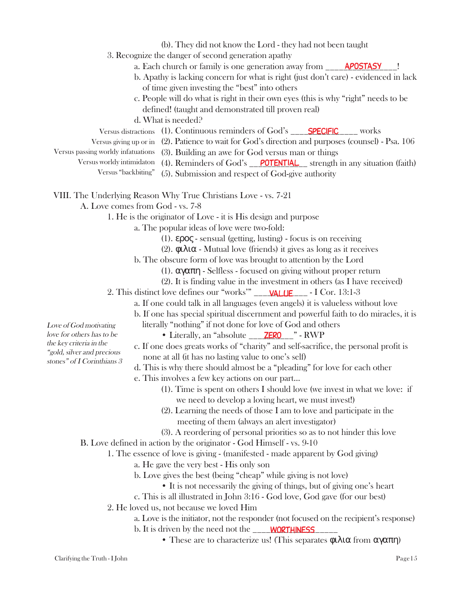|                                                                                    | (b). They did not know the Lord - they had not been taught                                         |  |  |  |  |  |  |
|------------------------------------------------------------------------------------|----------------------------------------------------------------------------------------------------|--|--|--|--|--|--|
|                                                                                    | 3. Recognize the danger of second generation apathy                                                |  |  |  |  |  |  |
|                                                                                    | a. Each church or family is one generation away from ______ <b>APOSTASY</b>                        |  |  |  |  |  |  |
|                                                                                    | b. Apathy is lacking concern for what is right (just don't care) - evidenced in lack               |  |  |  |  |  |  |
| of time given investing the "best" into others                                     |                                                                                                    |  |  |  |  |  |  |
| c. People will do what is right in their own eyes (this is why "right" needs to be |                                                                                                    |  |  |  |  |  |  |
| defined! (taught and demonstrated till proven real)                                |                                                                                                    |  |  |  |  |  |  |
|                                                                                    | d. What is needed?                                                                                 |  |  |  |  |  |  |
|                                                                                    |                                                                                                    |  |  |  |  |  |  |
|                                                                                    | Versus giving up or in (2). Patience to wait for God's direction and purposes (counsel) - Psa. 106 |  |  |  |  |  |  |
| Versus passing worldy infatuations                                                 | (3). Building an awe for God versus man or things                                                  |  |  |  |  |  |  |
| Versus worldy intimidaton                                                          | (4). Reminders of God's $\sqrt{\text{OPTENTIAL}}$ strength in any situation (faith)                |  |  |  |  |  |  |
| Versus "backbiting"                                                                | (5). Submission and respect of God-give authority                                                  |  |  |  |  |  |  |
|                                                                                    | VIII. The Underlying Reason Why True Christians Love - vs. 7-21                                    |  |  |  |  |  |  |
|                                                                                    |                                                                                                    |  |  |  |  |  |  |
| A. Love comes from God - vs. 7-8                                                   |                                                                                                    |  |  |  |  |  |  |
|                                                                                    | 1. He is the originator of Love - it is His design and purpose                                     |  |  |  |  |  |  |

- a. The popular ideas of love were two-fold:
	- (1). ερος sensual (getting, lusting) focus is on receiving
	- (2). φιλια Mutual love (friends) it gives as long as it receives
	- b. The obscure form of love was brought to attention by the Lord
		- (1). αγαπη Selfless focused on giving without proper return
		- (2). It is finding value in the investment in others (as I have received)
- 2. This distinct love defines our "works'" \_\_\_\_\_\_\_\_\_\_\_\_ I Cor. 13:1-3 value
	- a. If one could talk in all languages (even angels) it is valueless without love
	- b. If one has special spiritual discernment and powerful faith to do miracles, it is literally "nothing" if not done for love of God and others
		- Literally, an "absolute \_\_\_\_**ZERO** \_\_ " RWP
	- c. If one does greats works of "charity" and self-sacrifice, the personal profit is none at all (it has no lasting value to one's self)
	- d. This is why there should almost be a "pleading" for love for each other
	- e. This involves a few key actions on our part...
		- (1). Time is spent on others I should love (we invest in what we love: if we need to develop a loving heart, we must invest!)
		- (2). Learning the needs of those I am to love and participate in the meeting of them (always an alert investigator)
		- (3). A reordering of personal priorities so as to not hinder this love
- B. Love defined in action by the originator God Himself vs. 9-10

1. The essence of love is giving - (manifested - made apparent by God giving)

- a. He gave the very best His only son
	- b. Love gives the best (being "cheap" while giving is not love)
		- It is not necessarily the giving of things, but of giving one's heart
	- c. This is all illustrated in John 3:16 God love, God gave (for our best)
- 2. He loved us, not because we loved Him
	- a. Love is the initiator, not the responder (not focused on the recipient's response)
	- b. It is driven by the need not the \_\_\_\_\_\_\_\_\_\_\_\_\_\_\_\_\_\_\_ worthiness
		- These are to characterize us! (This separates  $\phi \iota \lambda \iota \alpha$  from  $\alpha \gamma \alpha \pi \eta$ )

Love of God motivating love for others has to be the key criteria in the "gold, silver and precious stones" of I Corinthians 3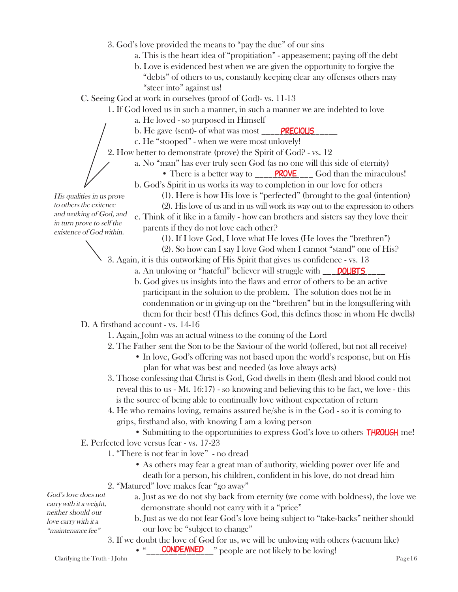- 3. God's love provided the means to "pay the due" of our sins
	- a. This is the heart idea of "propitiation" appeasement; paying off the debt
	- b. Love is evidenced best when we are given the opportunity to forgive the "debts" of others to us, constantly keeping clear any offenses others may "steer into" against us!

C. Seeing God at work in ourselves (proof of God)- vs. 11-13

- 1. If God loved us in such a manner, in such a manner we are indebted to love
	- a. He loved so purposed in Himself
	- b. He gave (sent)- of what was most \_\_\_\_<mark>PRECIOUS</mark> \_\_\_\_\_
	- c. He "stooped" when we were most unlovely!
- 2. How better to demonstrate (prove) the Spirit of God? vs. 12
	- a. No "man" has ever truly seen God (as no one will this side of eternity)
		- There is a better way to **PROVE** God than the miraculous!
		- b. God's Spirit in us works its way to completion in our love for others
			- (1). Here is how His love is "perfected" (brought to the goal (intention)

(2). His love of us and in us will work its way out to the expression to others c. Think of it like in a family - how can brothers and sisters say they love their parents if they do not love each other?

(1). If I love God, I love what He loves (He loves the "brethren")

(2). So how can I say I love God when I cannot "stand" one of His?

- 3. Again, it is this outworking of His Spirit that gives us confidence vs. 13
	- a. An unloving or "hateful" believer will struggle with **DOUBTS**
	- b. God gives us insights into the flaws and error of others to be an active participant in the solution to the problem. The solution does not lie in condemnation or in giving-up on the "brethren" but in the longsuffering with them for their best! (This defines God, this defines those in whom He dwells)

## D. A firsthand account - vs. 14-16

- 1. Again, John was an actual witness to the coming of the Lord
- 2. The Father sent the Son to be the Saviour of the world (offered, but not all receive)
	- In love, God's offering was not based upon the world's response, but on His plan for what was best and needed (as love always acts)
- 3. Those confessing that Christ is God, God dwells in them (flesh and blood could not reveal this to us - Mt. 16:17) - so knowing and believing this to be fact, we love - this is the source of being able to continually love without expectation of return
- 4. He who remains loving, remains assured he/she is in the God so it is coming to grips, firsthand also, with knowing I am a loving person
- Submitting to the opportunities to express God's love to others **THROUGH** me! E. Perfected love versus fear - vs. 17-23
	- 1. "There is not fear in love" no dread
		- As others may fear a great man of authority, wielding power over life and death for a person, his children, confident in his love, do not dread him
		- 2. "Matured" love makes fear "go away"
			- a. Just as we do not shy back from eternity (we come with boldness), the love we demonstrate should not carry with it a "price"

b. Just as we do not fear God's love being subject to "take-backs" neither should our love be "subject to change"

3. If we doubt the love of God for us, we will be unloving with others (vacuum like)

Clarifying the Truth - I John Page 16

God's love does not carry with it a weight, neither should our love carry with it a "maintenance fee"

• " **CONDEMNED** " people are not likely to be loving!

His qualities in us prove to others the exitence and wotking of God, and in turn prove to self the existence of God within.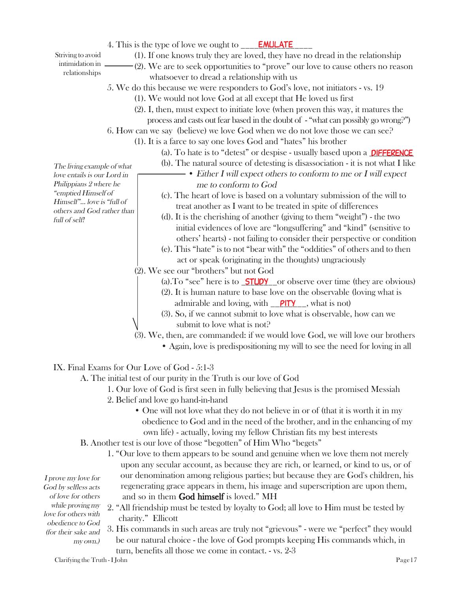4. This is the type of love we ought to \_\_\_\_**EMULATE** 

Striving to avoid intimidation in relationships

(1). If one knows truly they are loved, they have no dread in the relationship (2). We are to seek opportunities to "prove" our love to cause others no reason whatsoever to dread a relationship with us

5. We do this because we were responders to God's love, not initiators - vs. 19

- (1). We would not love God at all except that He loved us first
- (2). I, then, must expect to initiate love (when proven this way, it matures the process and casts out fear based in the doubt of - "what can possibly go wrong?")
- 6. How can we say (believe) we love God when we do not love those we can see?
	- (1). It is a farce to say one loves God and "hates" his brother
		- (a). To hate is to "detest" or despise usually based upon a **DIFFERENCE**
		- (b). The natural source of detesting is disassociation it is not what I like

• Either I will expect others to conform to me or I will expect me to conform to God

- (c). The heart of love is based on a voluntary submission of the will to treat another as I want to be treated in spite of differences
- (d). It is the cherishing of another (giving to them "weight") the two initial evidences of love are "longsuffering" and "kind" (sensitive to others' hearts) - not failing to consider their perspective or condition
- (e). This "hate" is to not "bear with" the "oddities" of others and to then act or speak (originating in the thoughts) ungraciously

(2). We see our "brothers" but not God

- (a). To "see" here is to  $STUDY$  or observe over time (they are obvious)
- (2). It is human nature to base love on the observable (loving what is admirable and loving, with  $\rho$ <sup>TY</sup> , what is not)
- (3). So, if we cannot submit to love what is observable, how can we submit to love what is not?

(3). We, then, are commanded: if we would love God, we will love our brothers

• Again, love is predispositioning my will to see the need for loving in all

# IX. Final Exams for Our Love of God - 5:1-3

A. The initial test of our purity in the Truth is our love of God

- 1. Our love of God is first seen in fully believing that Jesus is the promised Messiah
- 2. Belief and love go hand-in-hand
	- One will not love what they do not believe in or of (that it is worth it in my obedience to God and in the need of the brother, and in the enhancing of my own life) - actually, loving my fellow Christian fits my best interests
- B. Another test is our love of those "begotten" of Him Who "begets"
	- 1. "Our love to them appears to be sound and genuine when we love them not merely upon any secular account, as because they are rich, or learned, or kind to us, or of our denomination among religious parties; but because they are God's children, his regenerating grace appears in them, his image and superscription are upon them, and so in them God himself is loved." MH

God by selfless acts of love for others while proving my love for others with obedience to God (for their sake and my own.)

I prove my love for

- 2. "All friendship must be tested by loyalty to God; all love to Him must be tested by charity." Ellicott
- 3. His commands in such areas are truly not "grievous" were we "perfect" they would be our natural choice - the love of God prompts keeping His commands which, in turn, benefits all those we come in contact. - vs. 2-3

Clarifying the Truth - I John Page 17

The living example of what love entails is our Lord in Philippians 2 where he "emptied Himself of Himself"... love is "full of others and God rather than full of self!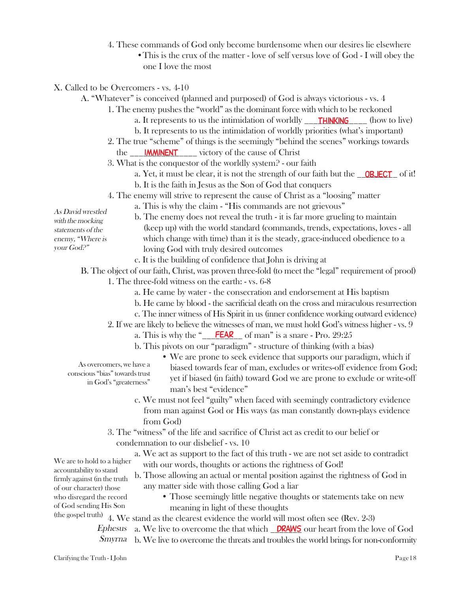4. These commands of God only become burdensome when our desires lie elsewhere •This is the crux of the matter - love of self versus love of God - I will obey the one I love the most

X. Called to be Overcomers - vs. 4-10

- A. "Whatever" is conceived (planned and purposed) of God is always victorious vs. 4
	- 1. The enemy pushes the "world" as the dominant force with which to be reckoned
		- a. It represents to us the intimidation of worldly \_\_\_\_\_\_\_\_\_\_\_\_\_\_\_\_\_\_\_ (how to live)
		- b. It represents to us the intimidation of worldly priorities (what's important)
	- 2. The true "scheme" of things is the seemingly "behind the scenes" workings towards the <u>\_\_\_\_**IMMINENT**</u> \_\_\_\_\_ victory of the cause of Christ
	- 3. What is the conquestor of the worldly system? our faith
		- a. Yet, it must be clear, it is not the strength of our faith but the **OBJECT** of it!
		- b. It is the faith in Jesus as the Son of God that conquers
	- 4. The enemy will strive to represent the cause of Christ as a "loosing" matter
		- a. This is why the claim "His commands are not grievous"
- As David wrestled with the mocking statements of the enemy, "Where is your God?"
- b. The enemy does not reveal the truth it is far more grueling to maintain (keep up) with the world standard (commands, trends, expectations, loves - all which change with time) than it is the steady, grace-induced obedience to a loving God with truly desired outcomes
- c. It is the building of confidence that John is driving at

B. The object of our faith, Christ, was proven three-fold (to meet the "legal" requirement of proof)

- 1. The three-fold witness on the earth: vs. 6-8
	- a. He came by water the consecration and endorsement at His baptism
	- b. He came by blood the sacrificial death on the cross and miraculous resurrection
	- c. The inner witness of His Spirit in us (inner confidence working outward evidence)
	- 2. If we are likely to believe the witnesses of man, we must hold God's witness higher vs. 9
		- a. This is why the " $\frac{\textsf{FEAR}}{\textsf{FEAR}}$  of man" is a snare Pro. 29:25
		- b. This pivots on our "paradigm" structure of thinking (with a bias)
- As overcomers, we have a conscious "bias" towards trust in God's "greaterness"
- We are prone to seek evidence that supports our paradigm, which if biased towards fear of man, excludes or writes-off evidence from God; yet if biased (in faith) toward God we are prone to exclude or write-off man's best "evidence"
- c. We must not feel "guilty" when faced with seemingly contradictory evidence from man against God or His ways (as man constantly down-plays evidence from God)
- 3. The "witness" of the life and sacrifice of Christ act as credit to our belief or condemnation to our disbelief - vs. 10
	- a. We act as support to the fact of this truth we are not set aside to contradict with our words, thoughts or actions the rightness of God!

b. Those allowing an actual or mental position against the rightness of God in any matter side with those calling God a liar

- Those seemingly little negative thoughts or statements take on new meaning in light of these thoughts
- (the gospel truth) 4. We stand as the clearest evidence the world will most often see (Rev. 2-3)

Ephesus a. We live to overcome the that which **DRAWS** our heart from the love of God Smyrna b. We live to overcome the threats and troubles the world brings for non-conformity

We are to hold to a higher accountability to stand firmly against (in the truth of our character) those who disregard the record of God sending His Son